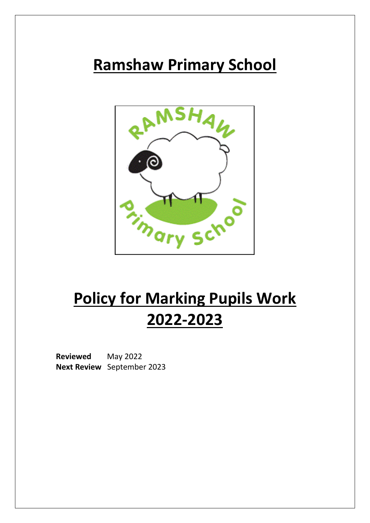# **Ramshaw Primary School**



# **Policy for Marking Pupils Work 2022-2023**

**Reviewed** May 2022 **Next Review** September 2023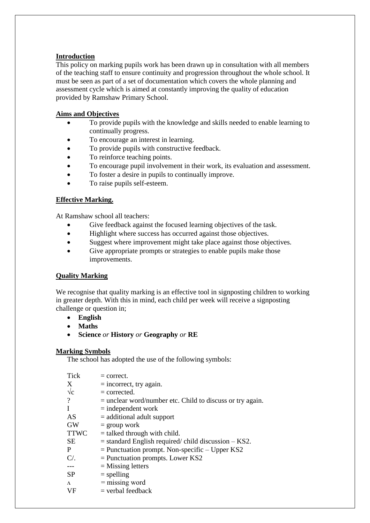## **Introduction**

This policy on marking pupils work has been drawn up in consultation with all members of the teaching staff to ensure continuity and progression throughout the whole school. It must be seen as part of a set of documentation which covers the whole planning and assessment cycle which is aimed at constantly improving the quality of education provided by Ramshaw Primary School.

#### **Aims and Objectives**

- To provide pupils with the knowledge and skills needed to enable learning to continually progress.
- To encourage an interest in learning.
- To provide pupils with constructive feedback.
- To reinforce teaching points.
- To encourage pupil involvement in their work, its evaluation and assessment.
- To foster a desire in pupils to continually improve.
- To raise pupils self-esteem.

## **Effective Marking.**

At Ramshaw school all teachers:

- Give feedback against the focused learning objectives of the task.
- Highlight where success has occurred against those objectives.
- Suggest where improvement might take place against those objectives.
- Give appropriate prompts or strategies to enable pupils make those improvements.

#### **Quality Marking**

We recognise that quality marking is an effective tool in signposting children to working in greater depth. With this in mind, each child per week will receive a signposting challenge or question in;

- **English**
- **Maths**
- **Science** *or* **History** *or* **Geography** *or* **RE**

#### **Marking Symbols**

The school has adopted the use of the following symbols:

| <b>Tick</b>               | $=$ correct.                                                |
|---------------------------|-------------------------------------------------------------|
| $\boldsymbol{\mathrm{X}}$ | $=$ incorrect, try again.                                   |
| $\sqrt{\mathrm{c}}$       | $=$ corrected.                                              |
| ?                         | $=$ unclear word/number etc. Child to discuss or try again. |
| -1                        | $=$ independent work                                        |
| AS                        | $=$ additional adult support                                |
| <b>GW</b>                 | $=$ group work                                              |
| <b>TTWC</b>               | $=$ talked through with child.                              |
| <b>SE</b>                 | $=$ standard English required/ child discussion $-$ KS2.    |
| P                         | $=$ Punctuation prompt. Non-specific $-$ Upper KS2          |
| $C/$ .                    | $=$ Punctuation prompts. Lower KS2                          |
| ---                       | $=$ Missing letters                                         |
| <b>SP</b>                 | $=$ spelling                                                |
| $\Lambda$                 | $=$ missing word                                            |
| VF                        | $=$ verbal feedback                                         |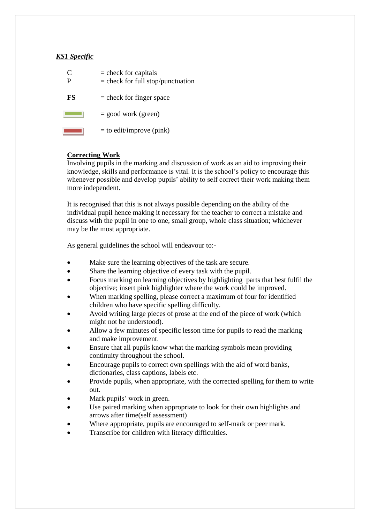## *KS1 Specific*

| ( ` | $=$ check for capitals<br>$=$ check for full stop/punctuation |
|-----|---------------------------------------------------------------|
| FS  | $=$ check for finger space                                    |
|     | $=$ good work (green)                                         |
|     | $=$ to edit/improve (pink)                                    |

## **Correcting Work**

Involving pupils in the marking and discussion of work as an aid to improving their knowledge, skills and performance is vital. It is the school's policy to encourage this whenever possible and develop pupils' ability to self correct their work making them more independent.

It is recognised that this is not always possible depending on the ability of the individual pupil hence making it necessary for the teacher to correct a mistake and discuss with the pupil in one to one, small group, whole class situation; whichever may be the most appropriate.

As general guidelines the school will endeavour to:-

- Make sure the learning objectives of the task are secure.
- Share the learning objective of every task with the pupil.
- Focus marking on learning objectives by highlighting parts that best fulfil the objective; insert pink highlighter where the work could be improved.
- When marking spelling, please correct a maximum of four for identified children who have specific spelling difficulty.
- Avoid writing large pieces of prose at the end of the piece of work (which might not be understood).
- Allow a few minutes of specific lesson time for pupils to read the marking and make improvement.
- Ensure that all pupils know what the marking symbols mean providing continuity throughout the school.
- Encourage pupils to correct own spellings with the aid of word banks, dictionaries, class captions, labels etc.
- Provide pupils, when appropriate, with the corrected spelling for them to write out.
- Mark pupils' work in green.
- Use paired marking when appropriate to look for their own highlights and arrows after time(self assessment)
- Where appropriate, pupils are encouraged to self-mark or peer mark.
- Transcribe for children with literacy difficulties.